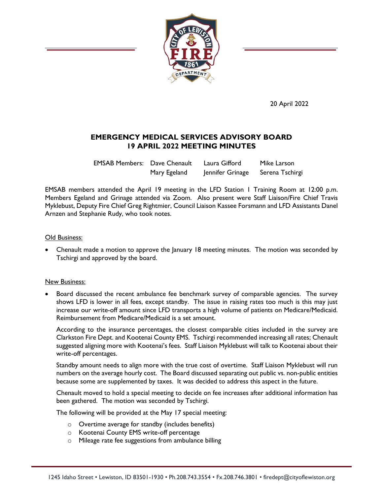

20 April 2022

## **EMERGENCY MEDICAL SERVICES ADVISORY BOARD 19 APRIL 2022 MEETING MINUTES**

EMSAB Members: Dave Chenault Laura Gifford Mike Larson Mary Egeland Jennifer Grinage Serena Tschirgi

EMSAB members attended the April 19 meeting in the LFD Station 1 Training Room at 12:00 p.m. Members Egeland and Grinage attended via Zoom. Also present were Staff Liaison/Fire Chief Travis Myklebust, Deputy Fire Chief Greg Rightmier, Council Liaison Kassee Forsmann and LFD Assistants Danel Arnzen and Stephanie Rudy, who took notes.

#### Old Business:

 Chenault made a motion to approve the January 18 meeting minutes. The motion was seconded by Tschirgi and approved by the board.

#### New Business:

 Board discussed the recent ambulance fee benchmark survey of comparable agencies. The survey shows LFD is lower in all fees, except standby. The issue in raising rates too much is this may just increase our write-off amount since LFD transports a high volume of patients on Medicare/Medicaid. Reimbursement from Medicare/Medicaid is a set amount.

According to the insurance percentages, the closest comparable cities included in the survey are Clarkston Fire Dept. and Kootenai County EMS. Tschirgi recommended increasing all rates; Chenault suggested aligning more with Kootenai's fees. Staff Liaison Myklebust will talk to Kootenai about their write-off percentages.

Standby amount needs to align more with the true cost of overtime. Staff Liaison Myklebust will run numbers on the average hourly cost. The Board discussed separating out public vs. non-public entities because some are supplemented by taxes. It was decided to address this aspect in the future.

Chenault moved to hold a special meeting to decide on fee increases after additional information has been gathered. The motion was seconded by Tschirgi.

The following will be provided at the May 17 special meeting:

- o Overtime average for standby (includes benefits)
- o Kootenai County EMS write-off percentage
- o Mileage rate fee suggestions from ambulance billing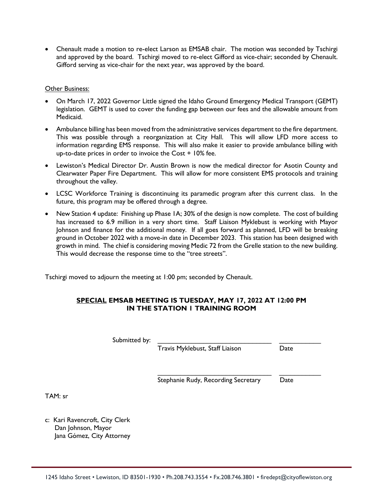Chenault made a motion to re-elect Larson as EMSAB chair. The motion was seconded by Tschirgi and approved by the board. Tschirgi moved to re-elect Gifford as vice-chair; seconded by Chenault. Gifford serving as vice-chair for the next year, was approved by the board.

#### Other Business:

- On March 17, 2022 Governor Little signed the Idaho Ground Emergency Medical Transport (GEMT) legislation. GEMT is used to cover the funding gap between our fees and the allowable amount from Medicaid.
- Ambulance billing has been moved from the administrative services department to the fire department. This was possible through a reorganization at City Hall. This will allow LFD more access to information regarding EMS response. This will also make it easier to provide ambulance billing with up-to-date prices in order to invoice the Cost + 10% fee.
- Lewiston's Medical Director Dr. Austin Brown is now the medical director for Asotin County and Clearwater Paper Fire Department. This will allow for more consistent EMS protocols and training throughout the valley.
- LCSC Workforce Training is discontinuing its paramedic program after this current class. In the future, this program may be offered through a degree.
- New Station 4 update: Finishing up Phase 1A; 30% of the design is now complete. The cost of building has increased to 6.9 million in a very short time. Staff Liaison Myklebust is working with Mayor Johnson and finance for the additional money. If all goes forward as planned, LFD will be breaking ground in October 2022 with a move-in date in December 2023. This station has been designed with growth in mind. The chief is considering moving Medic 72 from the Grelle station to the new building. This would decrease the response time to the "tree streets".

Tschirgi moved to adjourn the meeting at 1:00 pm; seconded by Chenault.

### **SPECIAL EMSAB MEETING IS TUESDAY, MAY 17, 2022 AT 12:00 PM IN THE STATION 1 TRAINING ROOM**

Submitted by:

Travis Myklebust, Staff Liaison Date

Stephanie Rudy, Recording Secretary Date

\_\_\_\_\_\_\_\_\_\_\_\_\_\_\_\_\_\_\_\_\_\_\_\_\_\_\_\_\_\_ \_\_\_\_\_\_\_\_\_\_\_

TAM: sr

c: Kari Ravencroft, City Clerk Dan Johnson, Mayor Jana Gómez, City Attorney